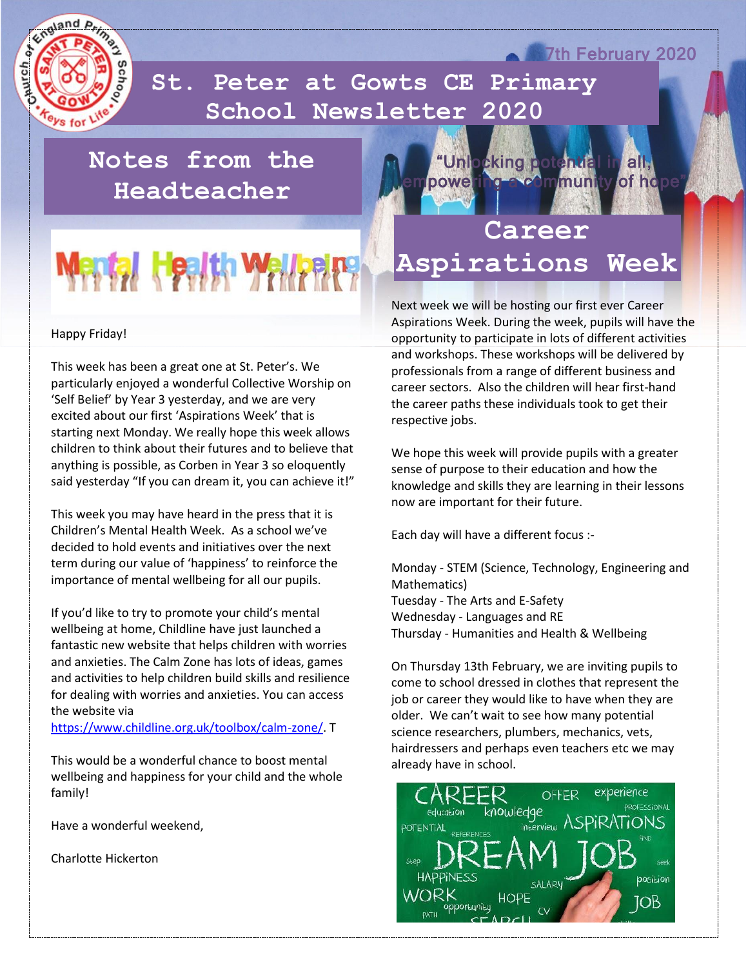

 **School Newsletter 2020St. Peter at Gowts CE Primary** 

#### **Notes from the Headteacher**

# Mantal, Health Wall

#### Happy Friday!

This week has been a great one at St. Peter's. We particularly enjoyed a wonderful Collective Worship on 'Self Belief' by Year 3 yesterday, and we are very excited about our first 'Aspirations Week' that is starting next Monday. We really hope this week allows children to think about their futures and to believe that anything is possible, as Corben in Year 3 so eloquently said yesterday "If you can dream it, you can achieve it!"

This week you may have heard in the press that it is Children's Mental Health Week. As a school we've decided to hold events and initiatives over the next term during our value of 'happiness' to reinforce the importance of mental wellbeing for all our pupils.

If you'd like to try to promote your child's mental wellbeing at home, Childline have just launched a fantastic new website that helps children with worries and anxieties. The Calm Zone has lots of ideas, games and activities to help children build skills and resilience for dealing with worries and anxieties. You can access the website via

[https://www.childline.org.uk/toolbox/calm-zone/.](https://www.childline.org.uk/toolbox/calm-zone/) T

This would be a wonderful chance to boost mental wellbeing and happiness for your child and the whole family!

Have a wonderful weekend,

Charlotte Hickerton

**Career Aspirations Week**  "Unlocking potential in all, powering a community of hope

**7th February 2020** 

Next week we will be hosting our first ever Career Aspirations Week. During the week, pupils will have the opportunity to participate in lots of different activities and workshops. These workshops will be delivered by professionals from a range of different business and career sectors. Also the children will hear first-hand the career paths these individuals took to get their respective jobs.

We hope this week will provide pupils with a greater sense of purpose to their education and how the knowledge and skills they are learning in their lessons now are important for their future.

Each day will have a different focus :-

Monday - STEM (Science, Technology, Engineering and Mathematics) Tuesday - The Arts and E-Safety Wednesday - Languages and RE Thursday - Humanities and Health & Wellbeing

On Thursday 13th February, we are inviting pupils to come to school dressed in clothes that represent the job or career they would like to have when they are older. We can't wait to see how many potential science researchers, plumbers, mechanics, vets, hairdressers and perhaps even teachers etc we may already have in school.

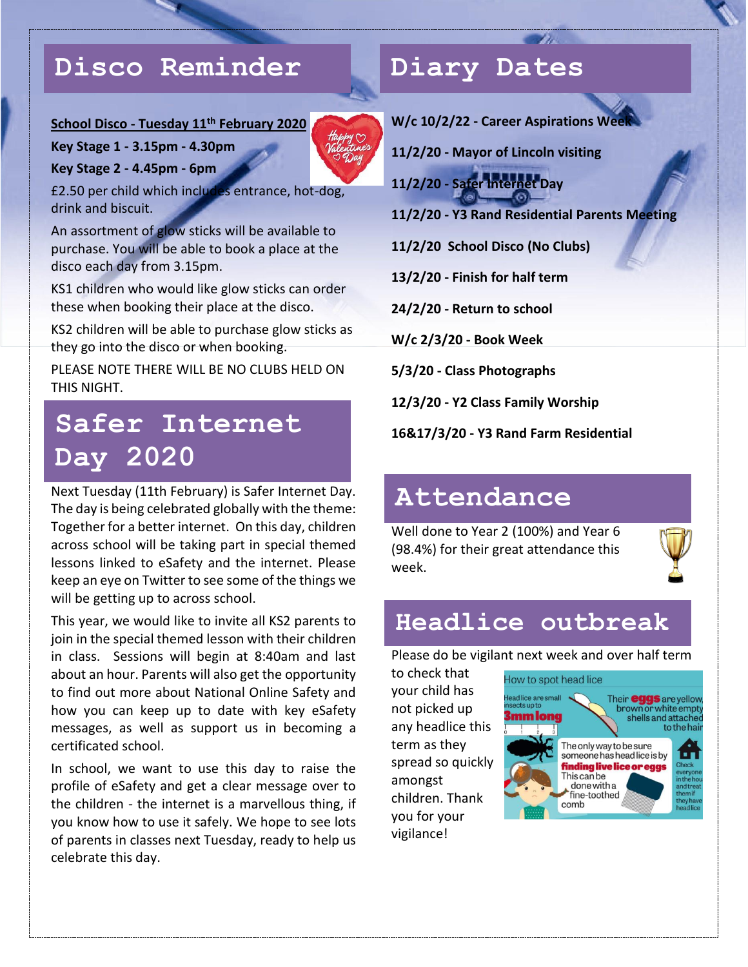#### **Disco Reminder**

#### **School Disco - Tuesday 11th February 2020**

**Key Stage 1 - 3.15pm - 4.30pm**

**Key Stage 2 - 4.45pm - 6pm**

£2.50 per child which includes entrance, hot-dog, drink and biscuit.

An assortment of glow sticks will be available to purchase. You will be able to book a place at the disco each day from 3.15pm.

KS1 children who would like glow sticks can order these when booking their place at the disco.

KS2 children will be able to purchase glow sticks as they go into the disco or when booking.

PLEASE NOTE THERE WILL BE NO CLUBS HELD ON THIS NIGHT.

## **Safer Internet Day 2020**

Next Tuesday (11th February) is Safer Internet Day. The day is being celebrated globally with the theme: Together for a better internet. On this day, children across school will be taking part in special themed lessons linked to eSafety and the internet. Please keep an eye on Twitter to see some of the things we will be getting up to across school.

This year, we would like to invite all KS2 parents to join in the special themed lesson with their children in class. Sessions will begin at 8:40am and last about an hour. Parents will also get the opportunity to find out more about National Online Safety and how you can keep up to date with key eSafety messages, as well as support us in becoming a certificated school.

In school, we want to use this day to raise the profile of eSafety and get a clear message over to the children - the internet is a marvellous thing, if you know how to use it safely. We hope to see lots of parents in classes next Tuesday, ready to help us celebrate this day.

## **Diary Dates**

**W/c 10/2/22 - Career Aspirations Week**

**11/2/20 - Mayor of Lincoln visiting**

**11/2/20 - Safer Internet Day**

**11/2/20 - Y3 Rand Residential Parents Meeting**

**11/2/20 School Disco (No Clubs)** 

**13/2/20 - Finish for half term**

**24/2/20 - Return to school**

**W/c 2/3/20 - Book Week**

**5/3/20 - Class Photographs**

**12/3/20 - Y2 Class Family Worship**

**16&17/3/20 - Y3 Rand Farm Residential**

#### **Attendance**

Well done to Year 2 (100%) and Year 6 (98.4%) for their great attendance this week.



#### **Headlice outbreak**

Please do be vigilant next week and over half term

to check that your child has not picked up any headlice this term as they spread so quickly amongst children. Thank you for your vigilance!